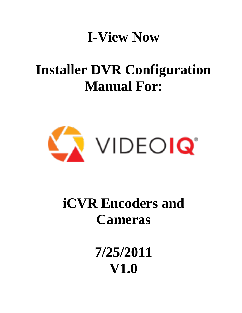## **I-View Now**

## **Installer DVR Configuration Manual For:**



# **iCVR Encoders and Cameras**

**7/25/2011 V1.0**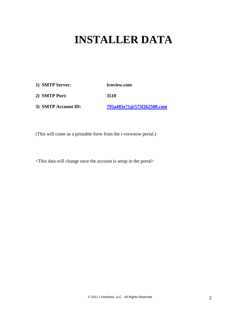### **INSTALLER DATA**

- **1) SMTP Server: ivnview.com**
- **2) SMTP Port: 3510**
- **3) SMTP Account ID: [795a485e71@575f262500.com](mailto:795a485e71@575f262500.com)**

(This will come as a printable form from the i-viewnow portal.)

<This data will change once the account is setup in the portal>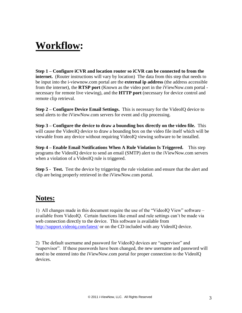### **Workflow:**

**Step 1 – Configure iCVR and location router so iCVR can be connected to from the internet.** (Router instructions will vary by location) The data from this step that needs to be input into the i-viewnow.com portal are the **external ip address** (the address accessible from the internet), the **RTSP port** (Known as the video port in the iViewNow.com portal necessary for remote live viewing), and the **HTTP port** (necessary for device control and remote clip retrieval.

**Step 2 – Configure Device Email Settings.** This is necessary for the VideoIQ device to send alerts to the iViewNow.com servers for event and clip processing.

**Step 3 – Configure the device to draw a bounding box directly on the video file.** This will cause the VideoIQ device to draw a bounding box on the video file itself which will be viewable from any device without requiring VideoIQ viewing software to be installed.

**Step 4 – Enable Email Notifications When A Rule Violation Is Triggered.** This step programs the VideoIQ device to send an email (SMTP) alert to the iViewNow.com servers when a violation of a VideoIQ rule is triggered.

**Step 5 - Test.** Test the device by triggering the rule violation and ensure that the alert and clip are being properly retrieved in the iViewNow.com portal.

#### **Notes:**

1) All changes made in this document require the use of the "VideoIQ View" software – available from VideoIQ. Certain functions like email and rule settings can't be made via web connection directly to the device. This software is available from <http://support.videoiq.com/latest/> or on the CD included with any VideoIQ device.

2) The default username and password for VideoIQ devices are "supervisor" and "supervisor". If these passwords have been changed, the new username and password will need to be entered into the iViewNow.com portal for proper connection to the VideoIQ devices.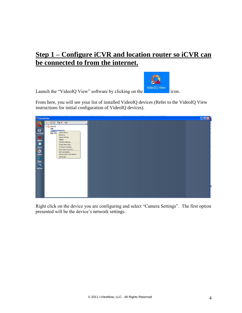#### **Step 1 – Configure iCVR and location router so iCVR can be connected to from the internet.**

Launch the "VideoIQ View" software by clicking on the icon.



From here, you will see your list of installed VideoIQ devices (Refer to the VideoIQ View instructions for initial configuration of VideoIQ devices).



Right click on the device you are configuring and select "Camera Settings". The first option presented will be the device's network settings.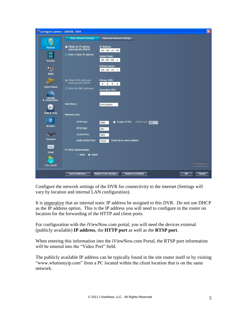

Configure the network settings of the DVR for connectivity to the internet (Settings will vary by location and internal LAN configuration).

It is imperative that an internal static IP address be assigned to this DVR. Do not use DHCP as the IP address option. This is the IP address you will need to configure in the router on location for the forwarding of the HTTP and client ports.

For configuration with the iViewNow.com portal, you will need the devices external (publicly available) **IP address**, the **HTTP port** as well as the **RTSP port**.

When entering this information into the iViewNow.com Portal, the RTSP port information will be entered into the "Video Port" field.

The publicly available IP address can be typically found in the site router itself or by visiting "www.whatismyip.com" from a PC located within the client location that is on the same network.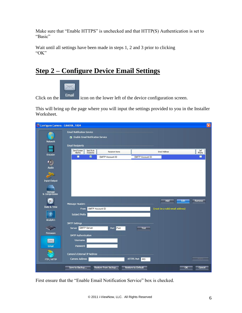Make sure that "Enable HTTPS" is unchecked and that HTTP(S) Authentication is set to "Basic"

Wait until all settings have been made in steps 1, 2 and 3 prior to clicking "OK"

#### **Step 2 – Configure Device Email Settings**



Click on the icon on the lower left of the device configuration screen.

This will bring up the page where you will input the settings provided to you in the Installer Worksheet.



First ensure that the "Enable Email Notification Service" box is checked.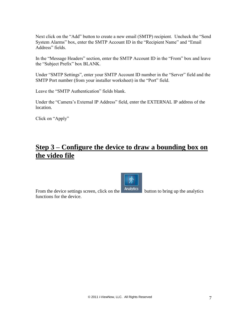Next click on the "Add" button to create a new email (SMTP) recipient. Uncheck the "Send System Alarms" box, enter the SMTP Account ID in the "Recipient Name" and "Email Address" fields.

In the "Message Headers" section, enter the SMTP Account ID in the "From" box and leave the "Subject Prefix" box BLANK.

Under "SMTP Settings", enter your SMTP Account ID number in the "Server" field and the SMTP Port number (from your installer worksheet) in the "Port" field.

Leave the "SMTP Authentication" fields blank.

Under the "Camera's External IP Address" field, enter the EXTERNAL IP address of the location.

Click on "Apply"

#### **Step 3 – Configure the device to draw a bounding box on the video file**



From the device settings screen, click on the **Analytics** button to bring up the analytics functions for the device.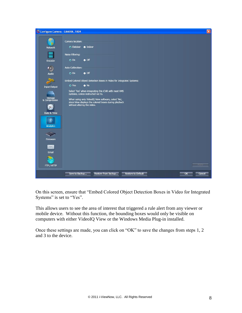

On this screen, ensure that "Embed Colored Object Detection Boxes in Video for Integrated Systems" is set to "Yes".

This allows users to see the area of interest that triggered a rule alert from any viewer or mobile device. Without this function, the bounding boxes would only be visible on computers with either VideoIQ View or the Windows Media Plug-in installed.

Once these settings are made, you can click on "OK" to save the changes from steps 1, 2 and 3 to the device.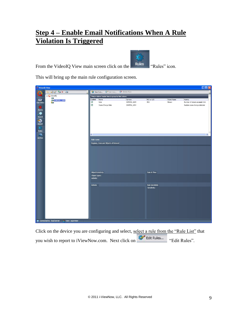#### **Step 4 – Enable Email Notifications When A Rule Violation Is Triggered**

From the VideoIQ View main screen click on the Rules "Rules" icon.

This will bring up the main rule configuration screen.

| $\Box$ D $\times$<br>VideolQ View                               |                                                |                                                               |                                        |                                      |                                         |                        |                                                                             |
|-----------------------------------------------------------------|------------------------------------------------|---------------------------------------------------------------|----------------------------------------|--------------------------------------|-----------------------------------------|------------------------|-----------------------------------------------------------------------------|
|                                                                 | OCTX P                                         | New Rule <b>IN Edit Rules IN</b> Delete Rule                  |                                        |                                      |                                         |                        |                                                                             |
|                                                                 | □ VideoIQ                                      | Drag a column header here to group by that column.            |                                        |                                      |                                         |                        |                                                                             |
| e<br>Live Video<br>Alarms<br>$\bullet$<br>Search<br>O<br>Export | <b>CON</b><br>CAMERA_1004<br><b>Circle</b>     | Enabled<br>$\overline{\mathbf{v}}$<br>$\overline{\mathsf{v}}$ | Name<br>Rule<br>Scene Change Rule      | Camera<br>CAMERA_1004<br>CAMERA_1004 | ROI or LOI<br>ROI                       | Object types<br>Person | Activity<br>Number of objects exceeds limit<br>Sudden scene change detected |
| 563<br>Rules<br>$\blacksquare$                                  |                                                | $\langle$                                                     |                                        |                                      |                                         |                        | $\blacktriangleright$                                                       |
| Archive                                                         |                                                | Rule name:                                                    | Regions, Lines and Objects of Interest |                                      |                                         |                        |                                                                             |
|                                                                 |                                                | <b>Object &amp; Activity</b>                                  |                                        |                                      | Date & Time                             |                        |                                                                             |
|                                                                 |                                                | Object types:<br>Activity:                                    |                                        |                                      |                                         |                        |                                                                             |
|                                                                 |                                                | Actions                                                       |                                        |                                      | <b>Rule Sensitivity</b><br>Sensitivity: |                        |                                                                             |
|                                                                 | Connected to: local server<br>User: supervisor |                                                               |                                        |                                      |                                         |                        |                                                                             |

Click on the device you are configuring and select, select a rule from the "Rule List" that you wish to report to iViewNow.com. Next click on **Edit Rules...** "Edit Rules".